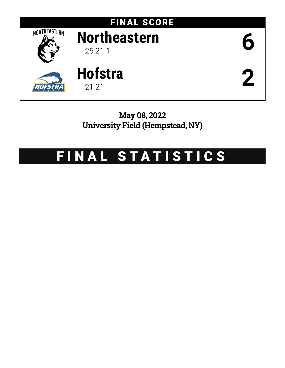

May 08, 2022 University Field (Hempstead, NY)

# FINAL STATISTICS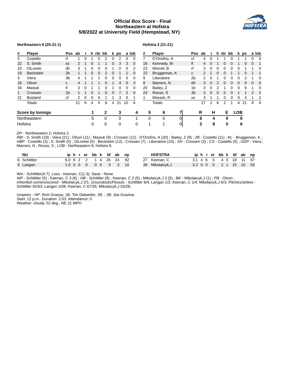# **Official Box Score - Final Northeastern at Hofstra 5/8/2022 at University Field (Hempstead, NY)**



### **Northeastern 6 (25-21-1)**

# **Hofstra 2 (21-21)**

| #                       | <b>Player</b>    | Pos ab         |    | r |   | h rbi bb |          |          | k po |                | a lob       | #  | <b>Player</b> |   | <b>Pos</b>     | ab | r        |          | h rbi bb |   |            | k po |   | a lob    |
|-------------------------|------------------|----------------|----|---|---|----------|----------|----------|------|----------------|-------------|----|---------------|---|----------------|----|----------|----------|----------|---|------------|------|---|----------|
| 5                       | Costello         | rf             |    | 0 |   | 0        |          |          |      | 0              | 0           |    | D'Onofrio, A  |   | сf             | 4  |          |          |          |   |            |      | 0 |          |
| 22                      | S. Smith         | SS             |    |   | 0 |          |          | 0        | 3    | 3              | $\mathbf 0$ | 16 | Kennedy, W    |   | lf             | 4  | $\Omega$ |          | 0        | 0 |            | 0    | 0 |          |
| 10                      | <b>DiLoreto</b>  | dh             | 3  |   |   | O        |          |          |      |                | 2           | 23 | Morrell, B    |   | rf             | 3  |          |          |          |   |            |      |   |          |
| 19                      | <b>Beckstein</b> | 2 <sub>b</sub> |    |   | 0 | 0        |          | $\Omega$ |      | 2              | 0           | 22 | Bruggeman, K  |   | C              |    |          | $\Omega$ | 0        |   |            | 5    |   |          |
| 3                       | Viera            | 3 <sub>b</sub> | 4  |   |   |          |          |          | 0    | 0              | 0           | 9  | Liberatore    |   | 2 <sub>b</sub> | 2  |          |          |          |   |            |      |   |          |
| 18                      | Olson            | $\mathbf{C}$   |    |   |   |          | $\Omega$ |          | 4    | $\overline{0}$ | 3           | 8  | Marrero, N    |   | dh             | 3  | $\Omega$ |          | 0        | 0 | 0          | 0    | 0 | $\Omega$ |
| 34                      | Masiuk           | lf             | 3  | 0 |   |          |          |          | 0    | 0              | 0           | 20 | Bailey, Z     |   | 1 <sub>b</sub> | 3  | $\Omega$ |          |          |   |            | 6    |   | $\Omega$ |
| $\mathbf{1}$            | Crossen          | 1 <sub>b</sub> |    |   |   |          | $\Omega$ | 0        |      | $\mathcal{P}$  | $\Omega$    | 24 | Rosso, S      |   | 3b             | 3  | $\Omega$ |          |          |   |            |      | 2 |          |
| 21                      | <b>Bosland</b>   | cf             |    | 0 | 0 | 0        |          |          | 3    | 0              |             |    | Morash, R     |   | SS             | 3  |          |          |          |   | 0          |      |   |          |
|                         | <b>Totals</b>    |                | 21 | 6 | 4 | 5        | 6        | 4        | 21   | 10             | 6           |    | <b>Totals</b> |   |                | 27 |          | 8        | 2        |   | 4          | 21   | 8 | 6        |
| <b>Score by Innings</b> |                  |                |    |   |   |          | 2        |          | 3    |                | 4           | 5  | 6             | 7 |                | R  | н        |          | Е        |   | <b>LOB</b> |      |   |          |
|                         | Northeastern     |                |    |   | 5 |          | 0        |          | 0    |                | 1           | 0  | $\Omega$      | 0 |                | 6  | 4        |          | 0        |   | 6          |      |   |          |
| Hofstra                 |                  |                |    |   | 0 |          | 0        |          | 0    |                | 0           | 1  |               | 0 |                | 2  | 8        |          | 0        |   | 6          |      |   |          |

*DP* - Northeastern 2; Hofstra 2.

*RBI* - S. Smith (19) ; Viera (21) ; Olson (11) ; Masiuk (9) ; Crossen (12) ; D'Onofrio, A (20) ; Bailey, Z (9) ; *2B* - Costello (11) ; *KL* - Bruggeman, K ; *HBP* - Costello (3) ; S. Smith (5) ; DiLoreto (5) ; Beckstein (12) ; Crossen (7) ; Liberatore (10) ; *SH* - Crossen (3) ; *CS* - Costello (5) ; *GDP* - Viera ; Marrero, N ; Rosso, S ; *LOB* - Northeastern 6; Hofstra 6.

| <b>NU</b>    |  |  |  | iphrerbbk bfab np      |  | <b>HOFSTRA</b>   |                        |  |  |  | iphrerbbk bfab np      |  |
|--------------|--|--|--|------------------------|--|------------------|------------------------|--|--|--|------------------------|--|
| 6 Schlittler |  |  |  | 6.0 8 2 2 1 4 26 24 92 |  | 27 Keenan, C     | 3.1 4 6 6 4 3 18 11 67 |  |  |  |                        |  |
| 9 Langan     |  |  |  | 1.0 0 0 0 0 0 0 3 3 10 |  | 38 Mikolaicyk, J |                        |  |  |  | 3.2 0 0 0 2 1 15 10 53 |  |

Win - Schlittler(4-7). Loss - Keenan, C(1-3). Save - None.

*WP* - Schlittler (5) ; Keenan, C 3 (6) ; *HB* - Schlittler (9) ; Keenan, C 2 (5) ; Mikolaicyk,J 3 (5) ; *BK* - Mikolaicyk,J (1) ; *PB* - Olson ;

*Inherited runners/scored* - Mikolaicyk,J 2/1; *Groundouts/Flyouts* - Schlittler 8/4; Langan 1/2; Keenan, C 1/4; Mikolaicyk,J 6/3; *PItches/strikes* - Schlittler 92/63; Langan 10/8; Keenan, C 67/35; Mikolaicyk,J 53/28;

Umpires - HP: Rich Grassa; 1B: Tim Detweiler; 2B: ; 3B: Joe Gravina. Start: 12 p.m.. Duration: 2:03. Attendance: 0 Weather: cloudy, 52 deg., NE 21 MPH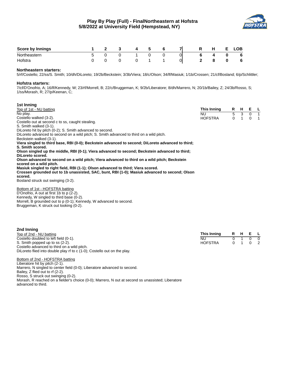

| <b>Score by Innings</b> |  | л |    |    | R | н | LOB. |
|-------------------------|--|---|----|----|---|---|------|
| Northeastern            |  | - |    | 01 |   |   | - 6  |
| Hofstra                 |  |   | -- | 0  |   |   | - 6  |

## **Northeastern starters:**

5/rf/Costello; 22/ss/S. Smith; 10/dh/DiLoreto; 19/2b/Beckstein; 3/3b/Viera; 18/c/Olson; 34/lf/Masiuk; 1/1b/Crossen; 21/cf/Bosland; 6/p/Schlittler;

#### **Hofstra starters:**

7/cf/D'Onofrio, A; 16/lf/Kennedy, W; 23/rf/Morrell, B; 22/c/Bruggeman, K; 9/2b/Liberatore; 8/dh/Marrero, N; 20/1b/Bailey, Z; 24/3b/Rosso, S; 1/ss/Morash, R; 27/p/Keenan, C;

| 1st Inning                                                                                        |                |   |              |          |                |
|---------------------------------------------------------------------------------------------------|----------------|---|--------------|----------|----------------|
| Top of 1st - NU batting                                                                           | This Inning    |   |              | R H E L  |                |
| No play.                                                                                          | NU.            |   | 5 3          |          | $0\quad 1$     |
| Costello walked (3-2).                                                                            | <b>HOFSTRA</b> | 0 | $\mathbf{1}$ | $\Omega$ | $\overline{1}$ |
| Costello out at second c to ss, caught stealing.                                                  |                |   |              |          |                |
| S. Smith walked (3-1).                                                                            |                |   |              |          |                |
| DiLoreto hit by pitch (0-2); S. Smith advanced to second.                                         |                |   |              |          |                |
| DiLoreto advanced to second on a wild pitch; S. Smith advanced to third on a wild pitch.          |                |   |              |          |                |
| Beckstein walked (3-1).                                                                           |                |   |              |          |                |
| Viera singled to third base, RBI (0-0); Beckstein advanced to second; DiLoreto advanced to third; |                |   |              |          |                |
| S. Smith scored.                                                                                  |                |   |              |          |                |
| Olson singled up the middle, RBI (0-1); Viera advanced to second; Beckstein advanced to third;    |                |   |              |          |                |
| DiLoreto scored.                                                                                  |                |   |              |          |                |
| Olson advanced to second on a wild pitch; Viera advanced to third on a wild pitch; Beckstein      |                |   |              |          |                |
| scored on a wild pitch.                                                                           |                |   |              |          |                |
| Masiuk singled to right field, RBI (1-1); Olson advanced to third; Viera scored.                  |                |   |              |          |                |
| Crossen grounded out to 1b unassisted, SAC, bunt, RBI (1-0); Masiuk advanced to second; Olson     |                |   |              |          |                |
| scored.                                                                                           |                |   |              |          |                |
| Bosland struck out swinging (3-2).                                                                |                |   |              |          |                |
|                                                                                                   |                |   |              |          |                |

Bottom of 1st - HOFSTRA batting D'Onofrio, A out at first 1b to p (2-2). Kennedy, W singled to third base (0-2). Morrell, B grounded out to p (0-1); Kennedy, W advanced to second. Bruggeman, K struck out looking (0-2).

| 2nd Inning                                                               |                |         |            |
|--------------------------------------------------------------------------|----------------|---------|------------|
| Top of 2nd - NU batting                                                  | This Inning    | R H E L |            |
| Costello doubled to left field (0-1).                                    | NU.            |         | $0\quad 0$ |
| S. Smith popped up to ss (2-2).                                          | <b>HOFSTRA</b> | 0 1 0 2 |            |
| Costello advanced to third on a wild pitch.                              |                |         |            |
| DiLoreto flied into double play if to c (1-0); Costello out on the play. |                |         |            |

Bottom of 2nd - HOFSTRA batting Liberatore hit by pitch (2-1). Marrero, N singled to center field (0-0); Liberatore advanced to second. Bailey, Z flied out to rf (2-2). Rosso, S struck out swinging (0-2). Morash, R reached on a fielder's choice (0-0); Marrero, N out at second ss unassisted; Liberatore advanced to third.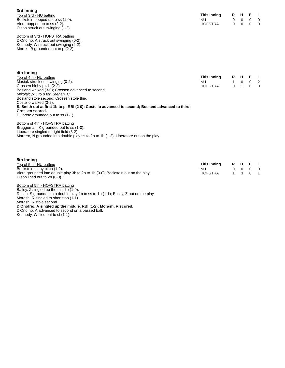**3rd Inning** Top of 3rd - NU batting Beckstein popped up to ss (1-0). Viera popped up to ss (2-2). Olson struck out swinging (1-2).

Bottom of 3rd - HOFSTRA batting D'Onofrio, A struck out swinging (0-2). Kennedy, W struck out swinging (2-2). Morrell, B grounded out to p (2-2).

| This Inning | R | н | Е. |   |
|-------------|---|---|----|---|
| NU          | n | n | n  |   |
| HOFSTRA     | O | O | O  | 0 |

| 4th Inning                                                                                        |                |     |     |                |
|---------------------------------------------------------------------------------------------------|----------------|-----|-----|----------------|
| Top of 4th - NU batting                                                                           | This Inning    | R H | E L |                |
| Masiuk struck out swinging (0-2).                                                                 | NU             |     |     | $\overline{2}$ |
| Crossen hit by pitch (2-2).                                                                       | <b>HOFSTRA</b> |     |     | $\overline{0}$ |
| Bosland walked (3-0); Crossen advanced to second.                                                 |                |     |     |                |
| Mikolaicyk, J to p for Keenan, C.                                                                 |                |     |     |                |
| Bosland stole second; Crossen stole third.                                                        |                |     |     |                |
| Costello walked (3-2).                                                                            |                |     |     |                |
| S. Smith out at first 1b to p, RBI (2-0); Costello advanced to second; Bosland advanced to third; |                |     |     |                |
| Crossen scored.                                                                                   |                |     |     |                |
| DiLoreto grounded out to ss (1-1).                                                                |                |     |     |                |

Bottom of 4th - HOFSTRA batting Bruggeman, K grounded out to ss (1-0). Liberatore singled to right field (3-2). Marrero, N grounded into double play ss to 2b to 1b (1-2); Liberatore out on the play.

| 5th Inning                                                                       |                |  |                          |  |
|----------------------------------------------------------------------------------|----------------|--|--------------------------|--|
| Top of 5th - NU batting                                                          | This Inning    |  | R H E L                  |  |
| Beckstein hit by pitch (1-2).                                                    | NU.            |  | $0\quad 0\quad 0\quad 0$ |  |
| Viera grounded into double play 3b to 2b to 1b (0-0); Beckstein out on the play. | <b>HOFSTRA</b> |  | 1 3 0 1                  |  |
| Olson lined out to 2b (0-0).                                                     |                |  |                          |  |

Bottom of 5th - HOFSTRA batting Bailey, Z singled up the middle (1-0). Rosso, S grounded into double play 1b to ss to 1b (1-1); Bailey, Z out on the play. Morash, R singled to shortstop (1-1). Morash, R stole second. **D'Onofrio, A singled up the middle, RBI (1-2); Morash, R scored.** D'Onofrio, A advanced to second on a passed ball. Kennedy, W flied out to cf (1-1).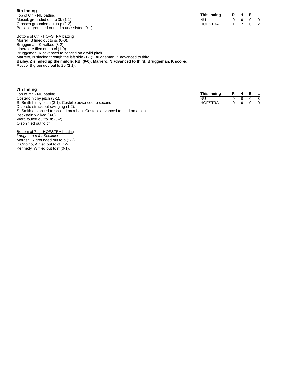# **6th Inning**

Top of 6th - NU batting Masiuk grounded out to 3b (1-1). Crossen grounded out to p (2-2). Bosland grounded out to 1b unassisted (0-1).

| This Inning    | н |   |  |
|----------------|---|---|--|
| NU             |   |   |  |
| <b>HOFSTRA</b> |   | O |  |

Bottom of 6th - HOFSTRA batting Morrell, B lined out to ss (0-0). Bruggeman, K walked (3-2). Liberatore flied out to cf (1-0). Bruggeman, K advanced to second on a wild pitch. Marrero, N singled through the left side (1-1); Bruggeman, K advanced to third. **Bailey, Z singled up the middle, RBI (0-0); Marrero, N advanced to third; Bruggeman, K scored.** Rosso, S grounded out to 2b (2-1).

| 7th Inning                                                                   |                |     |         |                |
|------------------------------------------------------------------------------|----------------|-----|---------|----------------|
| Top of 7th - NU batting                                                      | This Inning    |     | R H E L |                |
| Costello hit by pitch (3-1).                                                 | NU             |     |         | $_{3}$         |
| S. Smith hit by pitch (3-1); Costello advanced to second.                    | <b>HOFSTRA</b> | 0 O | 0       | $\overline{0}$ |
| DiLoreto struck out swinging (1-2).                                          |                |     |         |                |
| S. Smith advanced to second on a balk; Costello advanced to third on a balk. |                |     |         |                |
| Beckstein walked (3-0).                                                      |                |     |         |                |
| Viera fouled out to 3b (0-2).                                                |                |     |         |                |

Bottom of 7th - HOFSTRA batting *Langan to p for Schlittler.* Morash, R grounded out to p (1-2). D'Onofrio, A flied out to cf (1-2). Kennedy, W flied out to rf  $(0-1)$ .

Olson flied out to cf.